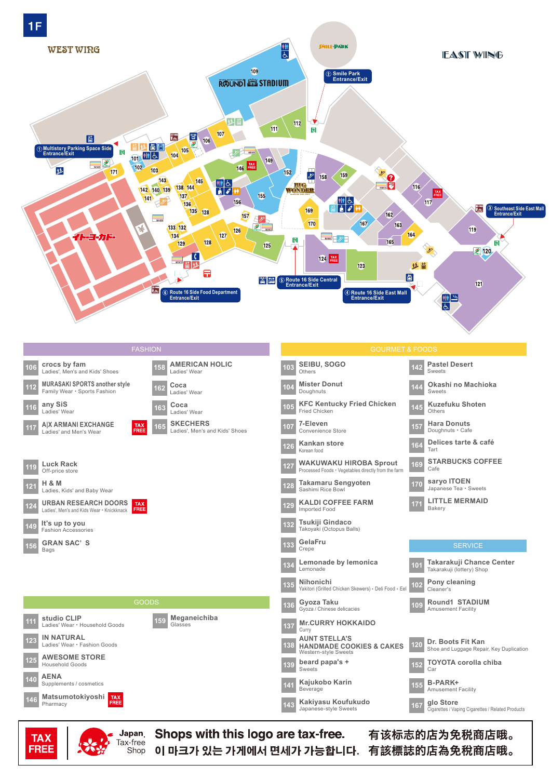

Shops with this logo are tax-free. Japan<sub>.</sub> Tax-free Shop

**TAX** 

**FREE** 

有该标志的店为免税商店哦。 이 마크가 있는 가게에서 면세가 가능합니다. 有該標誌的店為免稅商店哦。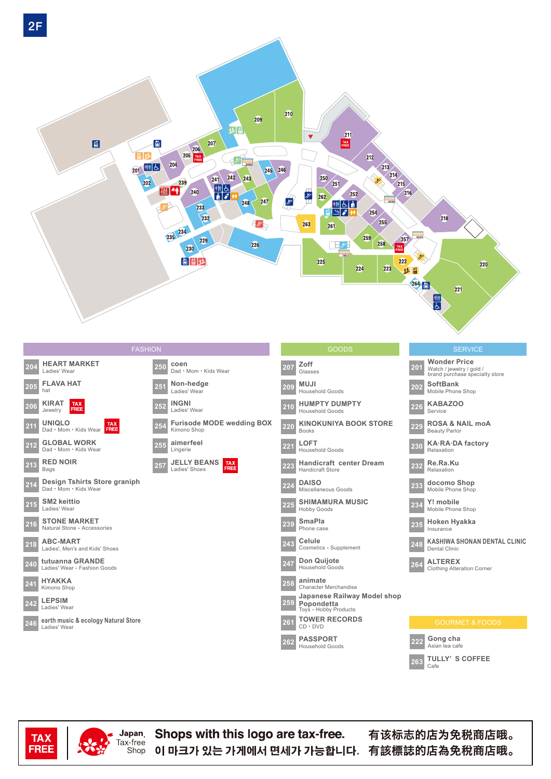



**TAX FREE** 

**Japan** 

Tax-free

Shop

Shops with this logo are tax-free. 이 마크가 있는 가게에서 면세가 가능합니다. 有該標誌的店為免稅商店哦。

有该标志的店为免税商店哦。

 $C$ afe